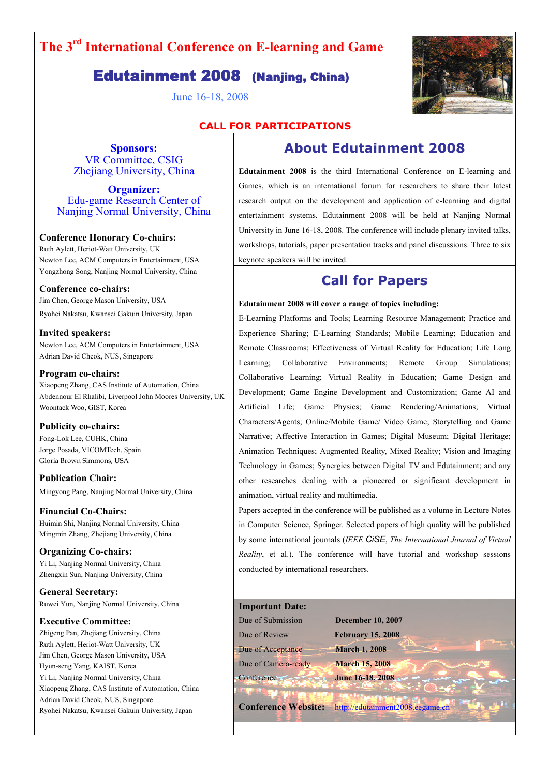# **The 3rd International Conference on E-learning and Game**

## Edutainment 2008 (Nanjing, China)

June 16-18, 2008



### **CALL FOR PARTICIPATIONS**

**Sponsors:**  VR Committee, CSIG Zhejiang University, China

**Organizer:**  Edu-game Research Center of Nanjing Normal University, China

### **Conference Honorary Co-chairs:**

Ruth Aylett, Heriot-Watt University, UK Newton Lee, ACM Computers in Entertainment, USA Yongzhong Song, Nanjing Normal University, China

**Conference co-chairs:**  Jim Chen, George Mason University, USA Ryohei Nakatsu, Kwansei Gakuin University, Japan

**Invited speakers:**  Newton Lee, ACM Computers in Entertainment, USA Adrian David Cheok, NUS, Singapore

**Program co-chairs:** 

Xiaopeng Zhang, CAS Institute of Automation, China Abdennour El Rhalibi, Liverpool John Moores University, UK Woontack Woo, GIST, Korea

### **Publicity co-chairs:**

Fong-Lok Lee, CUHK, China Jorge Posada, VICOMTech, Spain Gloria Brown Simmons, USA

**Publication Chair:**  Mingyong Pang, Nanjing Normal University, China

**Financial Co-Chairs:**  Huimin Shi, Nanjing Normal University, China Mingmin Zhang, Zhejiang University, China

**Organizing Co-chairs:**  Yi Li, Nanjing Normal University, China Zhengxin Sun, Nanjing University, China

**General Secretary:**  Ruwei Yun, Nanjing Normal University, China

### **Executive Committee:**

Zhigeng Pan, Zhejiang University, China Ruth Aylett, Heriot-Watt University, UK Jim Chen, George Mason University, USA Hyun-seng Yang, KAIST, Korea Yi Li, Nanjing Normal University, China Xiaopeng Zhang, CAS Institute of Automation, China Adrian David Cheok, NUS, Singapore Ryohei Nakatsu, Kwansei Gakuin University, Japan

## **About Edutainment 2008**

**Edutainment 2008** is the third International Conference on E-learning and Games, which is an international forum for researchers to share their latest research output on the development and application of e-learning and digital entertainment systems. Edutainment 2008 will be held at Nanjing Normal University in June 16-18, 2008. The conference will include plenary invited talks, workshops, tutorials, paper presentation tracks and panel discussions. Three to six keynote speakers will be invited.

### **Call for Papers**

#### **Edutainment 2008 will cover a range of topics including:**

E-Learning Platforms and Tools; Learning Resource Management; Practice and Experience Sharing; E-Learning Standards; Mobile Learning; Education and Remote Classrooms; Effectiveness of Virtual Reality for Education; Life Long Learning; Collaborative Environments; Remote Group Simulations; Collaborative Learning; Virtual Reality in Education; Game Design and Development; Game Engine Development and Customization; Game AI and Artificial Life; Game Physics; Game Rendering/Animations; Virtual Characters/Agents; Online/Mobile Game/ Video Game; Storytelling and Game Narrative; Affective Interaction in Games; Digital Museum; Digital Heritage; Animation Techniques; Augmented Reality, Mixed Reality; Vision and Imaging Technology in Games; Synergies between Digital TV and Edutainment; and any other researches dealing with a pioneered or significant development in animation, virtual reality and multimedia.

Papers accepted in the conference will be published as a volume in Lecture Notes in Computer Science, Springer. Selected papers of high quality will be published by some international journals (*IEEE CiSE*, *The International Journal of Virtual Reality*, et al.). The conference will have tutorial and workshop sessions conducted by international researchers.

### **Important Date:**

Due of Review **February 15, 2008** 

Due of Submission **December 10, 2007** Due of Acceptance **March 1, 2008**

Due of Camera-ready **March 15, 2008** Conference **June 16-18, 2008** 

**Conference Website:** http://edutainment2008.eegame.cn